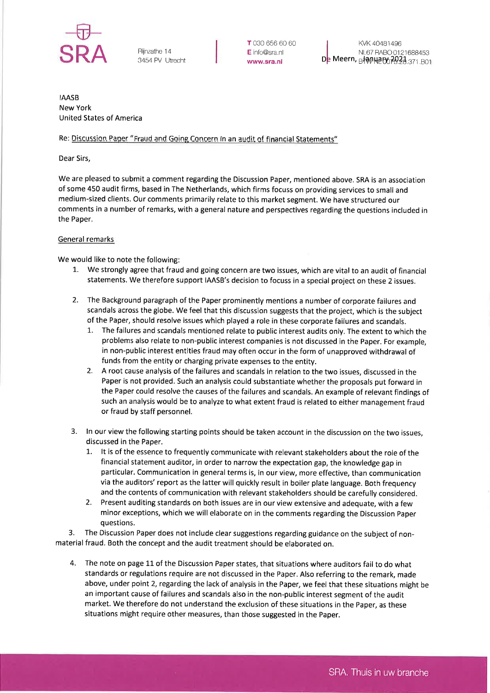

3454 PV Utrecht

T 030 656 60 60 E inÍo@sra,nl wwwsra.nl

KVK 40481496 NL67 RABO 01 21 688453  $\mathsf{D}$ e Meern,  $_{\mathsf{B}}$ + $_{\phi\psi}$ Netw $_{\phi}$ 29.2 $_{\mathrm{3.371,B01}}$ 

IAASB New York United States of America

## Re: Discussion Paper "Fraud and Going Concern in an audit of financial Statements"

Dear Sirs,

We are pleased to submit a comment regarding the Discussion Paper, mentioned above. SRA is an association of some 450 audit firms, based in The Netherlands, which firms focuss on providing services to small and medium-sized clients. Our comments primarily relate to this market segment. We have structured our comments in a number of remarks, with a general nature and perspectives regarding the questions included in the Paper.

## General remarks

We would like to note the following:

- 1. We strongly agree that fraud and going concern are two issues, which are vital to an audit of financial statements. We therefore support IAASB's decision to focuss in a special project on these 2 issues.
- 2. The Background paragraph of the Paper prominently mentions a number of corporate failures and scandals across the globe. We feel that this discussion suggests that the project, which is the subject of the Paper, should resolve issues which played a role in these corporate failures and scandals.
	- 1. The failures and scandals mentioned relate to public interest audits only. The extent to which the problems also relate to non-public interest companies is not discussed in the Paper. For example, in non-public interest entities fraud may often occur in the form of unapproved withdrawal of funds from the entity or charging private expenses to the entity.
	- 2. A root cause analysis of the failures and scandals in relation to the two issues, discussed in the Paper is not provided. Such an analysis could substantiate whether the proposals put forward in the Paper could resolve the causes of the failures and scandals. An example of relevant findings of such an analysis would be to analyze to what extent fraud is related to either management fraud or fraud by staff personnel.
- 3. ln our view the following starting points should be taken account in the discussion on the two issues, discussed in the Paper.
	- 1'. lt is of the essence to frequently communicate with relevant stakeholders about the role of the financial statement auditor, in order to narrow the expectation gap, the knowledge gap in particular. Communication in general terms is, in our view, more effective, than communication via the auditors' report as the latter will quickly result in boiler plate language. Both frequency and the contents of communication with relevant stakeholders should be carefully considered.
	- 2. Present auditing standards on both issues are in our view extensive and adequate, with a few minor exceptions, which we will elaborate on in the comments regarding the Discussion Paper questions.

3. The Discussion Paper does not include clear suggestions regarding guidance on the subject of nonmaterial fraud. Both the concept and the audit treatment should be elaborated on.

4. The note on page 11 of the Discussion Paper states, that situations where auditors fail to do what standards or regulations require are not discussed in the Paper. Also referring to the remark, made above, under point 2, regarding the lack of analysis in the Paper, we feel that these situations might be an important cause of failures and scandals also in the non-public interest segment of the audit market. We therefore do not understand the exclusion of these situations in the Paper, as these situations might require other measures, than those suggested in the paper.